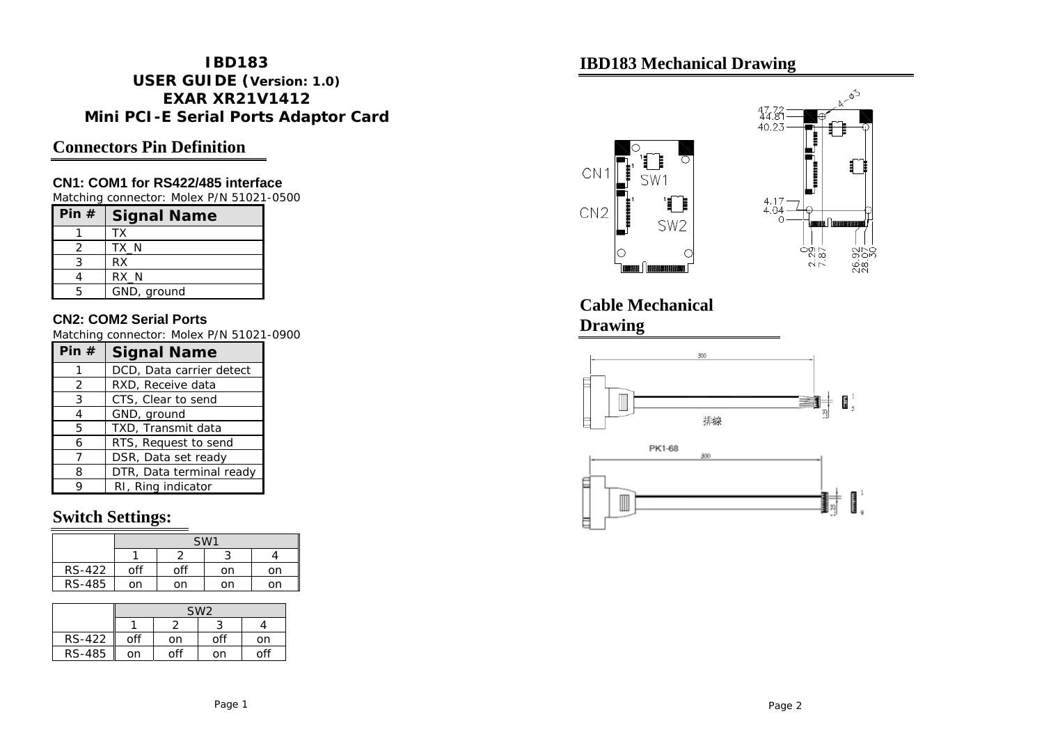#### **IBD183 USER GUIDE (Version: 1.0) EXAR XR21V1412 Mini PCI-E Serial Ports Adaptor Card**

## **Connectors Pin Definition**

#### **CN1: COM1 for RS422/485 interface**

Matching connector: Molex P/N 51021-0500

| Pin $#$ | <b>Signal Name</b> |
|---------|--------------------|
|         | ТX                 |
|         | TX N               |
|         | <b>RX</b>          |
|         | $RX_N$             |
|         | GND, ground        |

#### **CN2: COM2 Serial Ports**

Matching connector: Molex P/N 51021-0900

| Pin# | <b>Signal Name</b>       |
|------|--------------------------|
|      | DCD, Data carrier detect |
| 2    | RXD, Receive data        |
| 3    | CTS, Clear to send       |
| 4    | GND, ground              |
| 5    | TXD, Transmit data       |
| 6    | RTS, Request to send     |
| 7    | DSR, Data set ready      |
| 8    | DTR, Data terminal ready |
|      | RI, Ring indicator       |

### **Switch Settings:**

|               | SW <sub>1</sub> |     |    |    |
|---------------|-----------------|-----|----|----|
|               |                 |     |    |    |
| <b>RS-422</b> | off             | off | on | on |
| RS-485        | on              | on  | on | nn |

|               | SW <sub>2</sub> |     |     |     |
|---------------|-----------------|-----|-----|-----|
|               |                 |     |     |     |
| <b>RS-422</b> | off             | on  | off | on  |
| RS-485        | on              | off | on  | off |

## **IBD183 Mechanical Drawing**



**Cable Mechanical Drawing**